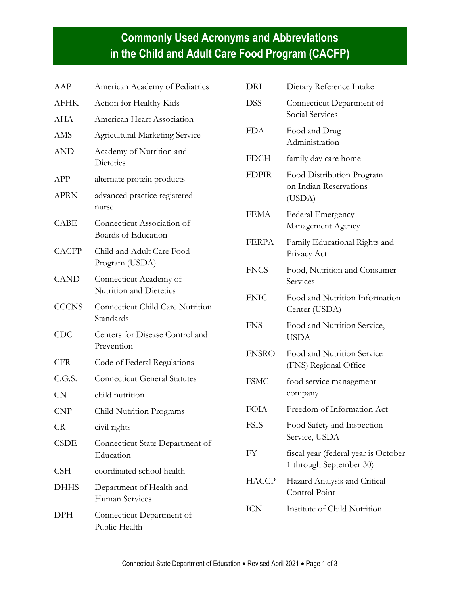## **Commonly Used Acronyms and Abbreviations in the Child and Adult Care Food Program (CACFP)**

| AAP          | American Academy of Pediatrics                       |
|--------------|------------------------------------------------------|
| AFHK         | Action for Healthy Kids                              |
| AHA          | American Heart Association                           |
| AMS          | <b>Agricultural Marketing Service</b>                |
| AND          | Academy of Nutrition and<br><b>Dietetics</b>         |
| APP          | alternate protein products                           |
| APRN         | advanced practice registered<br>nurse                |
| CABE         | Connecticut Association of<br>Boards of Education    |
| <b>CACFP</b> | Child and Adult Care Food<br>Program (USDA)          |
| <b>CAND</b>  | Connecticut Academy of<br>Nutrition and Dietetics    |
| <b>CCCNS</b> | <b>Connecticut Child Care Nutrition</b><br>Standards |
| <b>CDC</b>   | Centers for Disease Control and<br>Prevention        |
| <b>CFR</b>   | Code of Federal Regulations                          |
| C.G.S.       | <b>Connecticut General Statutes</b>                  |
| <b>CN</b>    | child nutrition                                      |
| CNP          | Child Nutrition Programs                             |
| CR           | civil rights                                         |
| <b>CSDE</b>  | Connecticut State Department of<br>Education         |
| <b>CSH</b>   | coordinated school health                            |
| <b>DHHS</b>  | Department of Health and<br>Human Services           |
| DPH          | Connecticut Department of<br>Public Health           |

| DRI          | Dietary Reference Intake                                        |
|--------------|-----------------------------------------------------------------|
| DSS          | Connecticut Department of<br>Social Services                    |
| <b>FDA</b>   | Food and Drug<br>Administration                                 |
| <b>FDCH</b>  | family day care home                                            |
| <b>FDPIR</b> | Food Distribution Program<br>on Indian Reservations<br>(USDA)   |
| <b>FEMA</b>  | Federal Emergency<br>Management Agency                          |
| <b>FERPA</b> | Family Educational Rights and<br>Privacy Act                    |
| <b>FNCS</b>  | Food, Nutrition and Consumer<br>Services                        |
| <b>FNIC</b>  | Food and Nutrition Information<br>Center (USDA)                 |
| <b>FNS</b>   | Food and Nutrition Service,<br><b>USDA</b>                      |
| <b>FNSRO</b> | Food and Nutrition Service<br>(FNS) Regional Office             |
| <b>FSMC</b>  | food service management<br>company                              |
| <b>FOIA</b>  | Freedom of Information Act                                      |
| <b>FSIS</b>  | Food Safety and Inspection<br>Service, USDA                     |
| FY           | fiscal year (federal year is October<br>1 through September 30) |
| <b>HACCP</b> | Hazard Analysis and Critical<br><b>Control Point</b>            |
| <b>ICN</b>   | Institute of Child Nutrition                                    |
|              |                                                                 |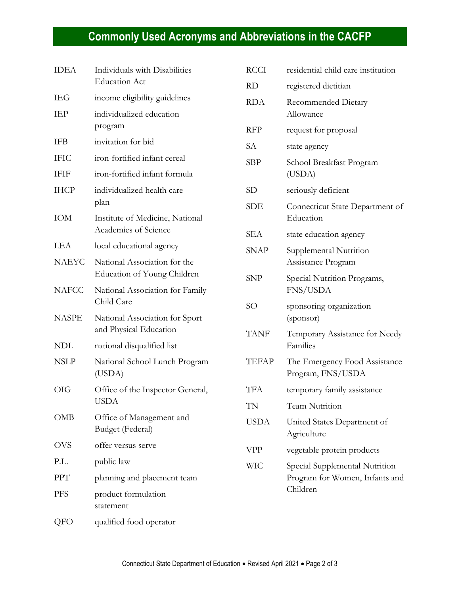## **Commonly Used Acronyms and Abbreviations in the CACFP**

| <b>IDEA</b>  | Individuals with Disabilities<br><b>Education Act</b>       |
|--------------|-------------------------------------------------------------|
| <b>IEG</b>   | income eligibility guidelines                               |
| IEP          | individualized education<br>program                         |
| IFB          | invitation for bid                                          |
| <b>IFIC</b>  | iron-fortified infant cereal                                |
| <b>IFIF</b>  | iron-fortified infant formula                               |
| <b>IHCP</b>  | individualized health care<br>plan                          |
| <b>IOM</b>   | Institute of Medicine, National<br>Academies of Science     |
| LEA          | local educational agency                                    |
| <b>NAEYC</b> | National Association for the<br>Education of Young Children |
| <b>NAFCC</b> | National Association for Family<br>Child Care               |
| <b>NASPE</b> | National Association for Sport<br>and Physical Education    |
| <b>NDL</b>   | national disqualified list                                  |
| <b>NSLP</b>  | National School Lunch Program<br>(USDA)                     |
| <b>OIG</b>   | Office of the Inspector General,<br><b>USDA</b>             |
| OMB          | Office of Management and<br>Budget (Federal)                |
| <b>OVS</b>   | offer versus serve                                          |
| P.L.         | public law                                                  |
| <b>PPT</b>   | planning and placement team                                 |
| PFS          | product formulation<br>statement                            |
| QFO          | qualified food operator                                     |

| <b>RCCI</b> | residential child care institution                                           |
|-------------|------------------------------------------------------------------------------|
| <b>RD</b>   | registered dietitian                                                         |
| RDA         | Recommended Dietary<br>Allowance                                             |
| <b>RFP</b>  | request for proposal                                                         |
| <b>SA</b>   | state agency                                                                 |
| SBP         | School Breakfast Program<br>(USDA)                                           |
| <b>SD</b>   | seriously deficient                                                          |
| SDE         | Connecticut State Department of<br>Education                                 |
| SEA         | state education agency                                                       |
| <b>SNAP</b> | Supplemental Nutrition<br>Assistance Program                                 |
| <b>SNP</b>  | Special Nutrition Programs,<br>FNS/USDA                                      |
| <b>SO</b>   | sponsoring organization<br>(sponsor)                                         |
| <b>TANF</b> | Temporary Assistance for Needy<br>Families                                   |
| TEFAP       | The Emergency Food Assistance<br>Program, FNS/USDA                           |
| TFA         | temporary family assistance                                                  |
| TN          | <b>Team Nutrition</b>                                                        |
| USDA        | United States Department of<br>Agriculture                                   |
| VPP         | vegetable protein products                                                   |
| WIC         | Special Supplemental Nutrition<br>Program for Women, Infants and<br>Children |